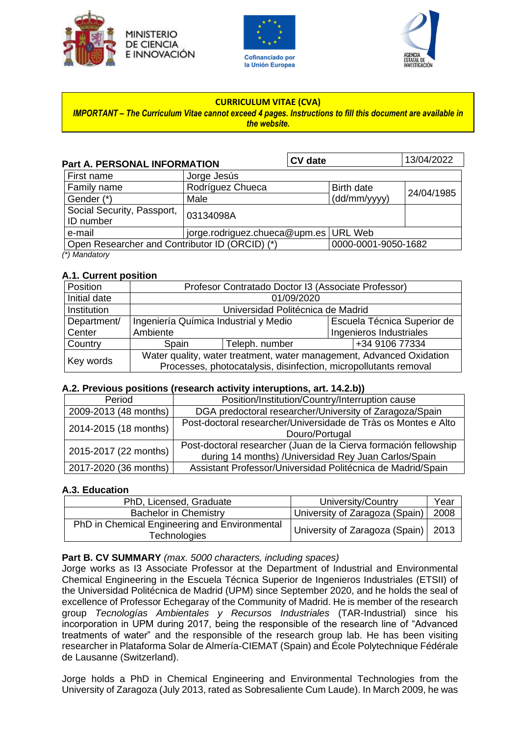





#### **CURRICULUM VITAE (CVA)**

#### *IMPORTANT – The Curriculum Vitae cannot exceed 4 pages. Instructions to fill this document are available in the website.*

| <b>Part A. PERSONAL INFORMATION</b>            |                                       | <b>CV</b> date |                     | 13/04/2022 |
|------------------------------------------------|---------------------------------------|----------------|---------------------|------------|
| First name                                     | Jorge Jesús                           |                |                     |            |
| Family name                                    | Rodríguez Chueca                      |                | <b>Birth date</b>   | 24/04/1985 |
| Gender (*)                                     | Male                                  |                | (dd/mm/yyyy)        |            |
| Social Security, Passport,<br>ID number        | 03134098A                             |                |                     |            |
| e-mail                                         | jorge.rodriguez.chueca@upm.es URL Web |                |                     |            |
| Open Researcher and Contributor ID (ORCID) (*) |                                       |                | 0000-0001-9050-1682 |            |
| $(*)$ Mandatory                                |                                       |                |                     |            |

#### **A.1. Current position**

| Position     | Profesor Contratado Doctor I3 (Associate Professor)                  |                                  |                             |  |  |
|--------------|----------------------------------------------------------------------|----------------------------------|-----------------------------|--|--|
| Initial date | 01/09/2020                                                           |                                  |                             |  |  |
| Institution  | Universidad Politécnica de Madrid                                    |                                  |                             |  |  |
| Department/  | Ingeniería Química Industrial y Medio                                |                                  | Escuela Técnica Superior de |  |  |
| Center       | Ambiente                                                             |                                  | Ingenieros Industriales     |  |  |
| Country      | Spain                                                                | +34 9106 77334<br>Teleph. number |                             |  |  |
| Key words    | Water quality, water treatment, water management, Advanced Oxidation |                                  |                             |  |  |
|              | Processes, photocatalysis, disinfection, micropollutants removal     |                                  |                             |  |  |

#### **A.2. Previous positions (research activity interuptions, art. 14.2.b))**

| Position/Institution/Country/Interruption cause                                  |  |  |
|----------------------------------------------------------------------------------|--|--|
| 2009-2013 (48 months)<br>DGA predoctoral researcher/University of Zaragoza/Spain |  |  |
| Post-doctoral researcher/Universidade de Tràs os Montes e Alto                   |  |  |
| Douro/Portugal                                                                   |  |  |
| Post-doctoral researcher (Juan de la Cierva formación fellowship                 |  |  |
| during 14 months) /Universidad Rey Juan Carlos/Spain                             |  |  |
| Assistant Professor/Universidad Politécnica de Madrid/Spain                      |  |  |
|                                                                                  |  |  |

## **A.3. Education**

| PhD, Licensed, Graduate                                       | University/Country                    | Year |
|---------------------------------------------------------------|---------------------------------------|------|
| <b>Bachelor in Chemistry</b>                                  | University of Zaragoza (Spain)        | 2008 |
| PhD in Chemical Engineering and Environmental<br>Technologies | University of Zaragoza (Spain)   2013 |      |

## **Part B. CV SUMMARY** *(max. 5000 characters, including spaces)*

Jorge works as I3 Associate Professor at the Department of Industrial and Environmental Chemical Engineering in the Escuela Técnica Superior de Ingenieros Industriales (ETSII) of the Universidad Politécnica de Madrid (UPM) since September 2020, and he holds the seal of excellence of Professor Echegaray of the Community of Madrid. He is member of the research group *Tecnologías Ambientales y Recursos Industriales* (TAR-Industrial) since his incorporation in UPM during 2017, being the responsible of the research line of "Advanced treatments of water" and the responsible of the research group lab. He has been visiting researcher in Plataforma Solar de Almería-CIEMAT (Spain) and École Polytechnique Fédérale de Lausanne (Switzerland).

Jorge holds a PhD in Chemical Engineering and Environmental Technologies from the University of Zaragoza (July 2013, rated as Sobresaliente Cum Laude). In March 2009, he was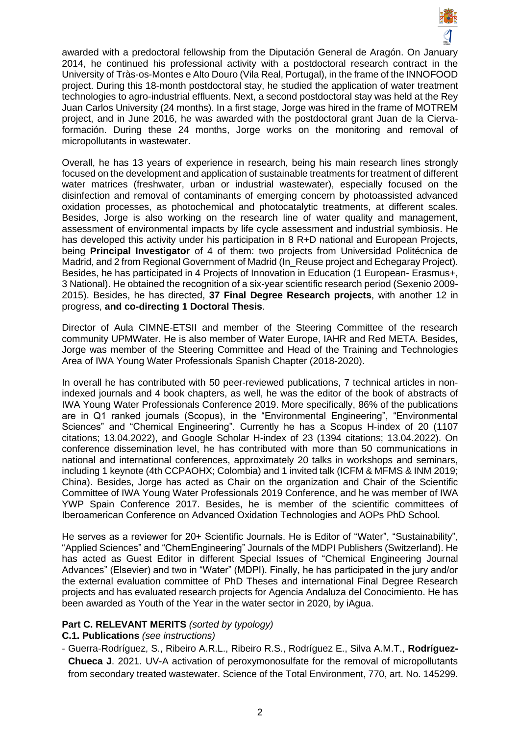

awarded with a predoctoral fellowship from the Diputación General de Aragón. On January 2014, he continued his professional activity with a postdoctoral research contract in the University of Tràs-os-Montes e Alto Douro (Vila Real, Portugal), in the frame of the INNOFOOD project. During this 18-month postdoctoral stay, he studied the application of water treatment technologies to agro-industrial effluents. Next, a second postdoctoral stay was held at the Rey Juan Carlos University (24 months). In a first stage, Jorge was hired in the frame of MOTREM project, and in June 2016, he was awarded with the postdoctoral grant Juan de la Ciervaformación. During these 24 months, Jorge works on the monitoring and removal of micropollutants in wastewater.

Overall, he has 13 years of experience in research, being his main research lines strongly focused on the development and application of sustainable treatments for treatment of different water matrices (freshwater, urban or industrial wastewater), especially focused on the disinfection and removal of contaminants of emerging concern by photoassisted advanced oxidation processes, as photochemical and photocatalytic treatments, at different scales. Besides, Jorge is also working on the research line of water quality and management, assessment of environmental impacts by life cycle assessment and industrial symbiosis. He has developed this activity under his participation in 8 R+D national and European Projects, being **Principal Investigator** of 4 of them: two projects from Universidad Politécnica de Madrid, and 2 from Regional Government of Madrid (In Reuse project and Echegaray Project). Besides, he has participated in 4 Projects of Innovation in Education (1 European- Erasmus+, 3 National). He obtained the recognition of a six-year scientific research period (Sexenio 2009- 2015). Besides, he has directed, **37 Final Degree Research projects**, with another 12 in progress, **and co-directing 1 Doctoral Thesis**.

Director of Aula CIMNE-ETSII and member of the Steering Committee of the research community UPMWater. He is also member of Water Europe, IAHR and Red META. Besides, Jorge was member of the Steering Committee and Head of the Training and Technologies Area of IWA Young Water Professionals Spanish Chapter (2018-2020).

In overall he has contributed with 50 peer-reviewed publications, 7 technical articles in nonindexed journals and 4 book chapters, as well, he was the editor of the book of abstracts of IWA Young Water Professionals Conference 2019. More specifically, 86% of the publications are in Q1 ranked journals (Scopus), in the "Environmental Engineering", "Environmental Sciences" and "Chemical Engineering". Currently he has a Scopus H-index of 20 (1107 citations; 13.04.2022), and Google Scholar H-index of 23 (1394 citations; 13.04.2022). On conference dissemination level, he has contributed with more than 50 communications in national and international conferences, approximately 20 talks in workshops and seminars, including 1 keynote (4th CCPAOHX; Colombia) and 1 invited talk (ICFM & MFMS & INM 2019; China). Besides, Jorge has acted as Chair on the organization and Chair of the Scientific Committee of IWA Young Water Professionals 2019 Conference, and he was member of IWA YWP Spain Conference 2017. Besides, he is member of the scientific committees of Iberoamerican Conference on Advanced Oxidation Technologies and AOPs PhD School.

He serves as a reviewer for 20+ Scientific Journals. He is Editor of "Water", "Sustainability", "Applied Sciences" and "ChemEngineering" Journals of the MDPI Publishers (Switzerland). He has acted as Guest Editor in different Special Issues of "Chemical Engineering Journal Advances" (Elsevier) and two in "Water" (MDPI). Finally, he has participated in the jury and/or the external evaluation committee of PhD Theses and international Final Degree Research projects and has evaluated research projects for Agencia Andaluza del Conocimiento. He has been awarded as Youth of the Year in the water sector in 2020, by iAgua.

## **Part C. RELEVANT MERITS** *(sorted by typology)*

## **C.1. Publications** *(see instructions)*

- Guerra-Rodríguez, S., Ribeiro A.R.L., Ribeiro R.S., Rodríguez E., Silva A.M.T., **Rodríguez-Chueca J**. 2021. UV-A activation of peroxymonosulfate for the removal of micropollutants from secondary treated wastewater. Science of the Total Environment, 770, art. No. 145299.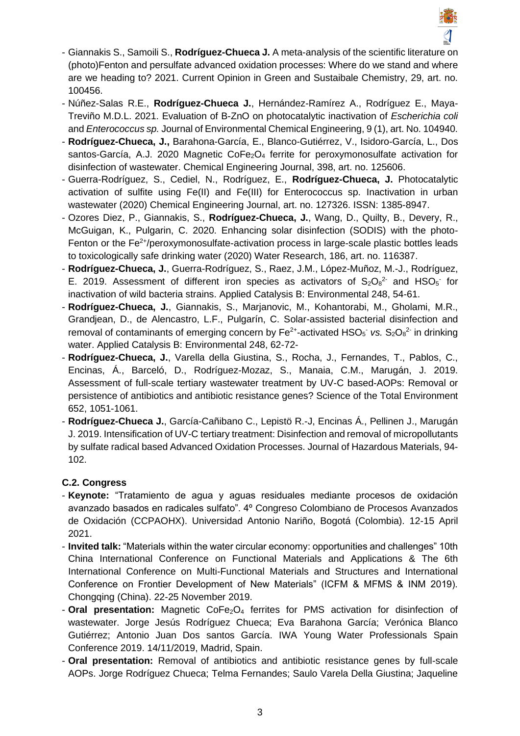

- Giannakis S., Samoili S., **Rodríguez-Chueca J.** A meta-analysis of the scientific literature on (photo)Fenton and persulfate advanced oxidation processes: Where do we stand and where are we heading to? 2021. Current Opinion in Green and Sustaibale Chemistry, 29, art. no. 100456.
- Núñez-Salas R.E., **Rodríguez-Chueca J.**, Hernández-Ramírez A., Rodríguez E., Maya-Treviño M.D.L. 2021. Evaluation of B-ZnO on photocatalytic inactivation of *Escherichia coli* and *Enterococcus sp.* Journal of Environmental Chemical Engineering, 9 (1), art. No. 104940.
- **Rodríguez-Chueca, J.,** Barahona-García, E., Blanco-Gutiérrez, V., Isidoro-García, L., Dos santos-García, A.J. 2020 Magnetic  $\text{CoFe}_2\text{O}_4$  ferrite for peroxymonosulfate activation for disinfection of wastewater. Chemical Engineering Journal, 398, art. no. 125606.
- Guerra-Rodríguez, S., Cediel, N., Rodríguez, E., **Rodríguez-Chueca, J.** Photocatalytic activation of sulfite using Fe(II) and Fe(III) for Enterococcus sp. Inactivation in urban wastewater (2020) Chemical Engineering Journal, art. no. 127326. ISSN: 1385-8947.
- Ozores Diez, P., Giannakis, S., **Rodríguez-Chueca, J.**, Wang, D., Quilty, B., Devery, R., McGuigan, K., Pulgarin, C. 2020. Enhancing solar disinfection (SODIS) with the photo-Fenton or the  $Fe<sup>2+</sup>/peroxymonosulfate-action.$  activation process in large-scale plastic bottles leads to toxicologically safe drinking water (2020) Water Research, 186, art. no. 116387.
- **Rodríguez-Chueca, J.**, Guerra-Rodríguez, S., Raez, J.M., López-Muñoz, M.-J., Rodríguez, E. 2019. Assessment of different iron species as activators of  $S_2O_8^2$  and HSO<sub>5</sub> for inactivation of wild bacteria strains. Applied Catalysis B: Environmental 248, 54-61.
- **Rodríguez-Chueca, J.**, Giannakis, S., Marjanovic, M., Kohantorabi, M., Gholami, M.R., Grandjean, D., de Alencastro, L.F., Pulgarín, C. Solar-assisted bacterial disinfection and removal of contaminants of emerging concern by  $Fe^{2+}$ -activated  $HSO_5$  *vs.*  $S_2O_8^2$  in drinking water. Applied Catalysis B: Environmental 248, 62-72-
- **Rodríguez-Chueca, J.**, Varella della Giustina, S., Rocha, J., Fernandes, T., Pablos, C., Encinas, Á., Barceló, D., Rodríguez-Mozaz, S., Manaia, C.M., Marugán, J. 2019. Assessment of full-scale tertiary wastewater treatment by UV-C based-AOPs: Removal or persistence of antibiotics and antibiotic resistance genes? Science of the Total Environment 652, 1051-1061.
- **Rodríguez-Chueca J.**, García-Cañibano C., Lepistö R.-J, Encinas Á., Pellinen J., Marugán J. 2019. Intensification of UV-C tertiary treatment: Disinfection and removal of micropollutants by sulfate radical based Advanced Oxidation Processes. Journal of Hazardous Materials, 94- 102.

# **C.2. Congress**

- **Keynote:** "Tratamiento de agua y aguas residuales mediante procesos de oxidación avanzado basados en radicales sulfato". 4º Congreso Colombiano de Procesos Avanzados de Oxidación (CCPAOHX). Universidad Antonio Nariño, Bogotá (Colombia). 12-15 April 2021.
- **Invited talk:** "Materials within the water circular economy: opportunities and challenges" 10th China International Conference on Functional Materials and Applications & The 6th International Conference on Multi-Functional Materials and Structures and International Conference on Frontier Development of New Materials" (ICFM & MFMS & INM 2019). Chongqing (China). 22-25 November 2019.
- **Oral presentation:** Magnetic CoFe<sub>2</sub>O<sub>4</sub> ferrites for PMS activation for disinfection of wastewater. Jorge Jesús Rodríguez Chueca; Eva Barahona García; Verónica Blanco Gutiérrez; Antonio Juan Dos santos García. IWA Young Water Professionals Spain Conference 2019. 14/11/2019, Madrid, Spain.
- **Oral presentation:** Removal of antibiotics and antibiotic resistance genes by full-scale AOPs. Jorge Rodríguez Chueca; Telma Fernandes; Saulo Varela Della Giustina; Jaqueline